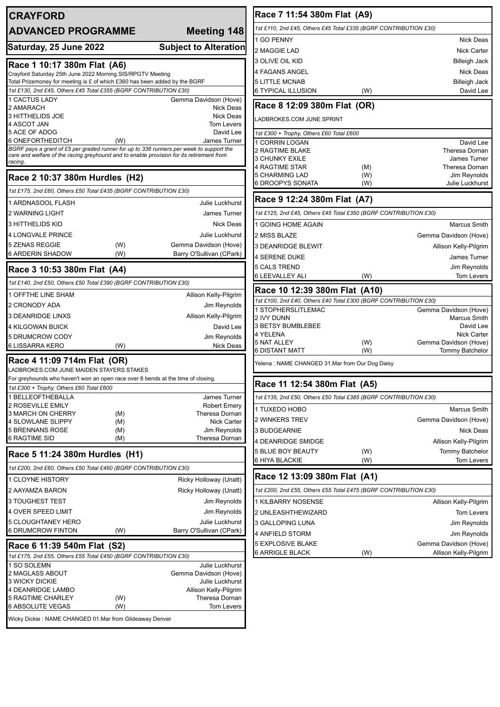| <b>CRAYFORD</b>                                                                                     |            |                                                                                         | Race 7 11:54 380m Flat (A9)                                                                       |            |                                   |
|-----------------------------------------------------------------------------------------------------|------------|-----------------------------------------------------------------------------------------|---------------------------------------------------------------------------------------------------|------------|-----------------------------------|
| <b>ADVANCED PROGRAMME</b>                                                                           |            | Meeting 148                                                                             | 1st £110, 2nd £45, Others £45 Total £335 (BGRF CONTRIBUTION £30)                                  |            |                                   |
|                                                                                                     |            |                                                                                         | 1 GO PENNY                                                                                        |            | <b>Nick Deas</b>                  |
| Saturday, 25 June 2022                                                                              |            | <b>Subject to Alteration</b>                                                            | 2 MAGGIE LAD                                                                                      |            | <b>Nick Carter</b>                |
| Race 1 10:17 380m Flat (A6)                                                                         |            |                                                                                         | 3 OLIVE OIL KID                                                                                   |            | <b>Billeigh Jack</b>              |
| Crayford Saturday 25th June 2022 Morning SIS/RPGTV Meeting                                          |            |                                                                                         | <b>4 FAGANS ANGEL</b>                                                                             |            | <b>Nick Deas</b>                  |
| Total Prizemoney for meeting is £ of which £360 has been added by the BGRF                          |            |                                                                                         | <b>5 LITTLE MCNAB</b>                                                                             |            | <b>Billeigh Jack</b>              |
| 1st £130, 2nd £45, Others £45 Total £355 (BGRF CONTRIBUTION £30)                                    |            |                                                                                         | <b>6 TYPICAL ILLUSION</b>                                                                         | (W)        | David Lee                         |
| 1 CACTUS LADY<br>2 AMARACH                                                                          |            | Gemma Davidson (Hove)<br><b>Nick Deas</b>                                               | Race 8 12:09 380m Flat (OR)                                                                       |            |                                   |
| 3 HITTHELIDS JOE                                                                                    |            | <b>Nick Deas</b>                                                                        | LADBROKES.COM JUNE SPRINT                                                                         |            |                                   |
| 4 ASCOT JAN<br>5 ACE OF ADOG                                                                        |            | <b>Tom Levers</b><br>David Lee                                                          |                                                                                                   |            |                                   |
| 6 ONEFORTHEDITCH                                                                                    | (W)        | James Turner                                                                            | 1st £300 + Trophy, Others £60 Total £600<br>1 CORRIN LOGAN                                        |            | David Lee                         |
|                                                                                                     |            | BGRF pays a grant of £5 per graded runner for up to 336 runners per week to support the | <b>2 RAGTIME BLAKE</b>                                                                            |            | Theresa Dornan                    |
| care and welfare of the racing greyhound and to enable provision for its retirement from<br>racing. |            |                                                                                         | <b>3 CHUNKY EXILE</b>                                                                             |            | <b>James Turner</b>               |
|                                                                                                     |            |                                                                                         | <b>4 RAGTIME STAR</b><br>5 CHARMING LAD                                                           | (M)<br>(W) | Theresa Dornan<br>Jim Reynolds    |
| Race 2 10:37 380m Hurdles (H2)                                                                      |            |                                                                                         | <b>6 DROOPYS SONATA</b>                                                                           | (W)        | <b>Julie Luckhurst</b>            |
| 1st £175, 2nd £60, Others £50 Total £435 (BGRF CONTRIBUTION £30)                                    |            |                                                                                         | Race 9 12:24 380m Flat (A7)                                                                       |            |                                   |
| 1 ARDNASOOL FLASH                                                                                   |            | <b>Julie Luckhurst</b>                                                                  |                                                                                                   |            |                                   |
| 2 WARNING LIGHT                                                                                     |            | James Turner                                                                            | 1st £125, 2nd £45, Others £45 Total £350 (BGRF CONTRIBUTION £30)                                  |            |                                   |
| 3 HITTHELIDS KID                                                                                    |            | <b>Nick Deas</b>                                                                        | 1 GOING HOME AGAIN                                                                                |            | <b>Marcus Smith</b>               |
| <b>4 LONGVALE PRINCE</b>                                                                            |            | Julie Luckhurst                                                                         | 2 MISS BLAZE                                                                                      |            | Gemma Davidson (Hove)             |
| 5 ZENAS REGGIE<br><b>6 ARDERIN SHADOW</b>                                                           | (W)<br>(W) | Gemma Davidson (Hove)<br>Barry O'Sullivan (CPark)                                       | <b>3 DEANRIDGE BLEWIT</b>                                                                         |            | Allison Kelly-Pilgrim             |
|                                                                                                     |            |                                                                                         | <b>4 SERENE DUKE</b>                                                                              |            | <b>James Turner</b>               |
| Race 3 10:53 380m Flat (A4)                                                                         |            |                                                                                         | <b>5 CALS TREND</b><br><b>6 LEEVALLEY ALI</b>                                                     | (W)        | Jim Reynolds<br><b>Tom Levers</b> |
| 1st £140, 2nd £50, Others £50 Total £390 (BGRF CONTRIBUTION £30)                                    |            |                                                                                         |                                                                                                   |            |                                   |
| 1 OFFTHE LINE SHAM                                                                                  |            | Allison Kelly-Pilgrim                                                                   | Race 10 12:39 380m Flat (A10)<br>1st £100, 2nd £40, Others £40 Total £300 (BGRF CONTRIBUTION £30) |            |                                   |
| 2 CRONODY ADA                                                                                       |            | Jim Reynolds                                                                            | 1 STOPHERSLITLEMAC                                                                                |            | Gemma Davidson (Hove)             |
| 3 DEANRIDGE LINXS                                                                                   |            | Allison Kelly-Pilgrim                                                                   | <b>2 IVY DUNN</b>                                                                                 |            | <b>Marcus Smith</b>               |
| 4 KILGOWAN BUICK                                                                                    |            | David Lee                                                                               | <b>3 BETSY BUMBLEBEE</b><br>4 YELENA                                                              |            | David Lee<br><b>Nick Carter</b>   |
| 5 DRUMCROW CODY<br>6 LISSARRA KERO                                                                  | (W)        | Jim Reynolds<br>Nick Deas                                                               | <b>5 NAT ALLEY</b>                                                                                | (W)        | Gemma Davidson (Hove)             |
|                                                                                                     |            |                                                                                         | <b>6 DISTANT MATT</b>                                                                             | (W)        | <b>Tommy Batchelor</b>            |
| Race 4 11:09 714m Flat (OR)<br>LADBROKES.COM JUNE MAIDEN STAYERS STAKES                             |            |                                                                                         | Yelena : NAME CHANGED 31.Mar from Our Dog Daisy                                                   |            |                                   |
| For greyhounds who haven't won an open race over 8 bends at the time of closing.                    |            |                                                                                         |                                                                                                   |            |                                   |
| 1st £300 + Trophy, Others £60 Total £600                                                            |            |                                                                                         | Race 11 12:54 380m Flat (A5)                                                                      |            |                                   |
| I BELLEOFTHEBALLA                                                                                   |            | James Turner                                                                            | 1st £135, 2nd £50, Others £50 Total £385 (BGRF CONTRIBUTION £30)                                  |            |                                   |
| 2 ROSEVILLE EMILY<br>3 MARCH ON CHERRY                                                              | (M)        | <b>Robert Emery</b><br>Theresa Dornan                                                   | 1 TUXEDO HOBO                                                                                     |            | <b>Marcus Smith</b>               |
| 4 SLOWLANE SLIPPY                                                                                   | (M)        | <b>Nick Carter</b>                                                                      | 2 WINKERS TREV                                                                                    |            | Gemma Davidson (Hove)             |
| 5 BRENNANS ROSE                                                                                     | (M)        | Jim Reynolds                                                                            | 3 BUDGEARNIE                                                                                      |            | Nick Deas                         |
| <b>6 RAGTIME SID</b>                                                                                | (M)        | Theresa Dornan                                                                          | 4 DEANRIDGE SMIDGE                                                                                |            | Allison Kelly-Pilgrim             |
| Race 5 11:24 380m Hurdles (H1)                                                                      |            |                                                                                         | <b>5 BLUE BOY BEAUTY</b><br>6 HIYA BLACKIE                                                        | (W)        | Tommy Batchelor<br>Tom Levers     |
| 1st £200, 2nd £60, Others £50 Total £460 (BGRF CONTRIBUTION £30)                                    |            |                                                                                         |                                                                                                   | (W)        |                                   |
| 1 CLOYNE HISTORY                                                                                    |            | Ricky Holloway (Unatt)                                                                  | Race 12 13:09 380m Flat (A1)                                                                      |            |                                   |
| 2 AAYAMZA BARON                                                                                     |            | Ricky Holloway (Unatt)                                                                  | 1st £200, 2nd £55, Others £55 Total £475 (BGRF CONTRIBUTION £30)                                  |            |                                   |
| 3 TOUGHEST TEST                                                                                     |            | Jim Reynolds                                                                            | 1 KILBARRY NOSENSE                                                                                |            | Allison Kelly-Pilgrim             |
| 4 OVER SPEED LIMIT                                                                                  |            | Jim Reynolds                                                                            | 2 UNLEASHTHEWIZARD                                                                                |            | Tom Levers                        |
| <b>5 CLOUGHTANEY HERO</b>                                                                           |            | Julie Luckhurst                                                                         | 3 GALLOPING LUNA                                                                                  |            | Jim Reynolds                      |
| <b>6 DRUMCROW FINTON</b>                                                                            | (W)        | Barry O'Sullivan (CPark)                                                                | 4 ANFIELD STORM                                                                                   |            | Jim Reynolds                      |
| Race 6 11:39 540m Flat (S2)                                                                         |            |                                                                                         | <b>5 EXPLOSIVE BLAKE</b>                                                                          |            | Gemma Davidson (Hove)             |
| 1st £175, 2nd £55, Others £55 Total £450 (BGRF CONTRIBUTION £30)                                    |            |                                                                                         | <b>6 ARRIGLE BLACK</b>                                                                            | (W)        | Allison Kelly-Pilgrim             |
| I SO SOLEMN                                                                                         |            | Julie Luckhurst                                                                         |                                                                                                   |            |                                   |
| 2 MAGLASS ABOUT<br><b>3 WICKY DICKIE</b>                                                            |            | Gemma Davidson (Hove)<br>Julie Luckhurst                                                |                                                                                                   |            |                                   |
| 4 DEANRIDGE LAMBO                                                                                   |            | Allison Kelly-Pilgrim                                                                   |                                                                                                   |            |                                   |
| <b>5 RAGTIME CHARLEY</b>                                                                            | (W)        | Theresa Dornan                                                                          |                                                                                                   |            |                                   |
| 6 ABSOLUTE VEGAS                                                                                    | (W)        | <b>Tom Levers</b>                                                                       |                                                                                                   |            |                                   |
| Wicky Dickie: NAME CHANGED 01.Mar from Glideaway Denver                                             |            |                                                                                         |                                                                                                   |            |                                   |